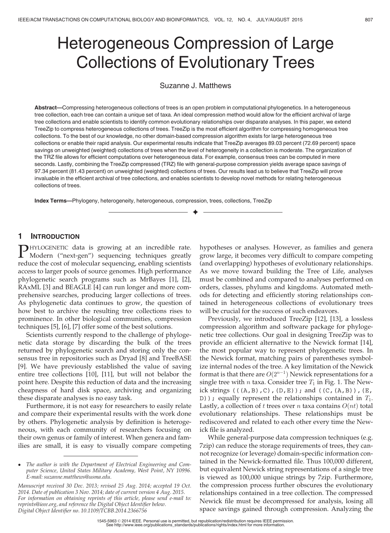# Heterogeneous Compression of Large Collections of Evolutionary Trees

Suzanne J. Matthews

Abstract—Compressing heterogeneous collections of trees is an open problem in computational phylogenetics. In a heterogeneous tree collection, each tree can contain a unique set of taxa. An ideal compression method would allow for the efficient archival of large tree collections and enable scientists to identify common evolutionary relationships over disparate analyses. In this paper, we extend TreeZip to compress heterogeneous collections of trees. TreeZip is the most efficient algorithm for compressing homogeneous tree collections. To the best of our knowledge, no other domain-based compression algorithm exists for large heterogeneous tree collections or enable their rapid analysis. Our experimental results indicate that TreeZip averages 89.03 percent (72.69 percent) space savings on unweighted (weighted) collections of trees when the level of heterogeneity in a collection is moderate. The organization of the TRZ file allows for efficient computations over heterogeneous data. For example, consensus trees can be computed in mere seconds. Lastly, combining the TreeZip compressed (TRZ) file with general-purpose compression yields average space savings of 97.34 percent (81.43 percent) on unweighted (weighted) collections of trees. Our results lead us to believe that TreeZip will prove invaluable in the efficient archival of tree collections, and enables scientists to develop novel methods for relating heterogeneous collections of trees.

 $\bigstar$ 

Index Terms—Phylogeny, heterogeneity, heterogeneous, compression, trees, collections, TreeZip

## 1 INTRODUCTION

PHYLOGENETIC data is growing at an incredible rate. Modern ("next-gen") sequencing techniques greatly reduce the cost of molecular sequencing, enabling scientists access to larger pools of source genomes. High performance phylogenetic search programs such as MrBayes [1], [2], RAxML [3] and BEAGLE [4] can run longer and more comprehensive searches, producing larger collections of trees. As phylogenetic data continues to grow, the question of how best to archive the resulting tree collections rises to prominence. In other biological communities, compression techniques [5], [6], [7] offer some of the best solutions.

Scientists currently respond to the challenge of phylogenetic data storage by discarding the bulk of the trees returned by phylogenetic search and storing only the consensus tree in repositories such as Dryad [8] and TreeBASE [9]. We have previously established the value of saving entire tree collections [10], [11], but will not belabor the point here. Despite this reduction of data and the increasing cheapness of hard disk space, archiving and organizing these disparate analyses is no easy task.

Furthermore, it is not easy for researchers to easily relate and compare their experimental results with the work done by others. Phylogenetic analysis by definition is heterogeneous, with each community of researchers focusing on their own genus or family of interest. When genera and families are small, it is easy to visually compare competing

Manuscript received 30 Dec. 2013; revised 25 Aug. 2014; accepted 19 Oct. 2014. Date of publication 3 Nov. 2014; date of current version 4 Aug. 2015. For information on obtaining reprints of this article, please send e-mail to: reprints@ieee.org, and reference the Digital Object Identifier below. Digital Object Identifier no. 10.1109/TCBB.2014.2366756

hypotheses or analyses. However, as families and genera grow large, it becomes very difficult to compare competing (and overlapping) hypotheses of evolutionary relationships. As we move toward building the Tree of Life, analyses must be combined and compared to analyses performed on orders, classes, phylums and kingdoms. Automated methods for detecting and efficiently storing relationships contained in heterogeneous collections of evolutionary trees will be crucial for the success of such endeavors.

Previously, we introduced TreeZip [12], [13], a lossless compression algorithm and software package for phylogenetic tree collections. Our goal in designing TreeZip was to provide an efficient alternative to the Newick format [14], the most popular way to represent phylogenetic trees. In the Newick format, matching pairs of parentheses symbolize internal nodes of the tree. A key limitation of the Newick format is that there are  $O(2^{n-1})$  Newick representations for a single tree with *n* taxa. Consider tree  $T_1$  in Fig. 1. The Newick strings  $((A, B), C), (D, E)$ ; and  $((C, (A, B)), (E,$ D)); equally represent the relationships contained in  $T_1$ . Lastly, a collection of t trees over n taxa contains  $O(nt)$  total evolutionary relationships. These relationships must be rediscovered and related to each other every time the Newick file is analyzed.

While general-purpose data compression techniques (e.g. 7zip) can reduce the storage requirements of trees, they cannot recognize (or leverage) domain-specific information contained in the Newick-formatted file. Thus 100,000 different, but equivalent Newick string representations of a single tree is viewed as 100,000 unique strings by 7zip. Furthermore, the compression process further obscures the evolutionary relationships contained in a tree collection. The compressed Newick file must be decompressed for analysis, losing all space savings gained through compression. Analyzing the

The author is with the Department of Electrical Engineering and Computer Science, United States Military Academy, West Point, NY 10996. E-mail: suzanne.matthews@usma.edu.

<sup>1545-5963</sup> 2014 IEEE. Personal use is permitted, but republication/redistribution requires IEEE permission. See http://www.ieee.org/publications\_standards/publications/rights/index.html for more information.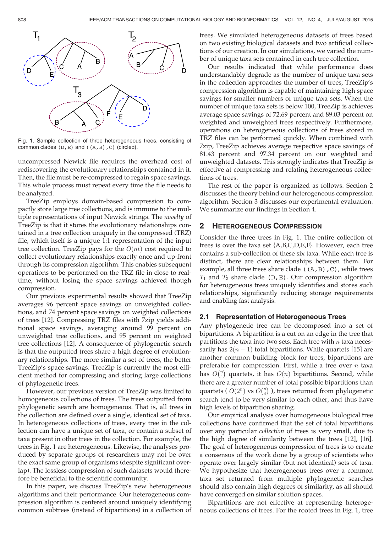

Fig. 1. Sample collection of three heterogeneous trees, consisting of common clades  $(D, E)$  and  $((A, B), C)$  (circled).

uncompressed Newick file requires the overhead cost of rediscovering the evolutionary relationships contained in it. Then, the file must be re-compressed to regain space savings. This whole process must repeat every time the file needs to be analyzed.

TreeZip employs domain-based compression to compactly store large tree collections, and is immune to the multiple representations of input Newick strings. The novelty of TreeZip is that it stores the evolutionary relationships contained in a tree collection uniquely in the compressed (TRZ) file, which itself is a unique 1:1 representation of the input tree collection. TreeZip pays for the  $O(nt)$  cost required to collect evolutionary relationships exactly once and up-front through its compression algorithm. This enables subsequent operations to be performed on the TRZ file in close to realtime, without losing the space savings achieved though compression.

Our previous experimental results showed that TreeZip averages 96 percent space savings on unweighted collections, and 74 percent space savings on weighted collections of trees [12]. Compressing TRZ files with 7zip yields additional space savings, averaging around 99 percent on unweighted tree collections, and 95 percent on weighted tree collections [12]. A consequence of phylogenetic search is that the outputted trees share a high degree of evolutionary relationships. The more similar a set of trees, the better TreeZip's space savings. TreeZip is currently the most efficient method for compressing and storing large collections of phylogenetic trees.

However, our previous version of TreeZip was limited to homogeneous collections of trees. The trees outputted from phylogenetic search are homogeneous. That is, all trees in the collection are defined over a single, identical set of taxa. In heterogeneous collections of trees, every tree in the collection can have a unique set of taxa, or contain a subset of taxa present in other trees in the collection. For example, the trees in Fig. 1 are heterogeneous. Likewise, the analyses produced by separate groups of researchers may not be over the exact same group of organisms (despite significant overlap). The lossless compression of such datasets would therefore be beneficial to the scientific community.

In this paper, we discuss TreeZip's new heterogeneous algorithms and their performance. Our heterogeneous compression algorithm is centered around uniquely identifying common subtrees (instead of bipartitions) in a collection of

trees. We simulated heterogeneous datasets of trees based on two existing biological datasets and two artificial collections of our creation. In our simulations, we varied the number of unique taxa sets contained in each tree collection.

Our results indicated that while performance does understandably degrade as the number of unique taxa sets in the collection approaches the number of trees, TreeZip's compression algorithm is capable of maintaining high space savings for smaller numbers of unique taxa sets. When the number of unique taxa sets is below 100, TreeZip is achieves average space savings of 72.69 percent and 89.03 percent on weighted and unweighted trees respectively. Furthermore, operations on heterogeneous collections of trees stored in TRZ files can be performed quickly. When combined with 7zip, TreeZip achieves average respective space savings of 81.43 percent and 97.34 percent on our weighted and unweighted datasets. This strongly indicates that TreeZip is effective at compressing and relating heterogeneous collections of trees.

The rest of the paper is organized as follows. Section 2 discusses the theory behind our heterogeneous compression algorithm. Section 3 discusses our experimental evaluation. We summarize our findings in Section 4.

## 2 HETEROGENEOUS COMPRESSION

Consider the three trees in Fig. 1. The entire collection of trees is over the taxa set {A,B,C,D,E,F}. However, each tree contains a sub-collection of these six taxa. While each tree is distinct, there are clear relationships between them. For example, all three trees share clade  $((A, B), C)$ , while trees  $T_1$  and  $T_3$  share clade (D, E). Our compression algorithm for heterogeneous trees uniquely identifies and stores such relationships, significantly reducing storage requirements and enabling fast analysis.

## 2.1 Representation of Heterogeneous Trees

Any phylogenetic tree can be decomposed into a set of bipartitions. A bipartition is a cut on an edge in the tree that partitions the taxa into two sets. Each tree with  $n$  taxa necessarily has  $2(n - 1)$  total bipartitions. While quartets [15] are another common building block for trees, bipartitions are preferable for compression. First, while a tree over  $n$  taxa has  $O\binom{n}{4}$  quartets, it has  $O(n)$  bipartitions. Second, while there are a greater number of total possible bipartitions than quartets (  $O(2^n)$  vs  $O(\frac{n}{4})$  ), trees returned from phylogenetic search tend to be very similar to each other, and thus have high levels of bipartition sharing.

Our empirical analysis over homogeneous biological tree collections have confirmed that the set of total bipartitions over any particular collection of trees is very small, due to the high degree of similarity between the trees [12], [16]. The goal of heterogeneous compression of trees is to create a consensus of the work done by a group of scientists who operate over largely similar (but not identical) sets of taxa. We hypothesize that heterogeneous trees over a common taxa set returned from multiple phylogenetic searches should also contain high degrees of similarity, as all should have converged on similar solution spaces.

Bipartitions are not effective at representing heterogeneous collections of trees. For the rooted trees in Fig. 1, tree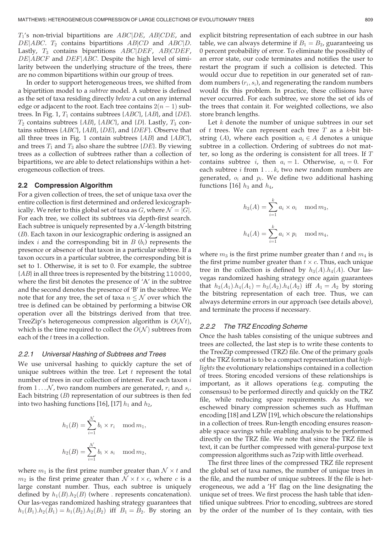$T_1$ 's non-trivial bipartitions are  $ABC|DE$ , AB|CDE, and  $DE|ABC$ .  $T_2$  contains bipartitions  $AB|CD$  and  $ABC|D$ . Lastly,  $T_3$  contains bipartitions ABC DEF, AB CDEF, DE|ABCF and DEF|ABC. Despite the high level of similarity between the underlying structure of the trees, there are no common bipartitions within our group of trees.

In order to support heterogeneous trees, we shifted from a bipartition model to a subtree model. A subtree is defined as the set of taxa residing directly below a cut on any internal edge or adjacent to the root. Each tree contains  $2(n-1)$  subtrees. In Fig. 1,  $T_1$  contains subtrees { $ABC$ }, { $AB$ }, and { $DE$ }.  $T_2$  contains subtrees {AB}, {ABC}, and {D}. Lastly,  $T_3$  contains subtrees  $\{ABC\}$ ,  $\{AB\}$ ,  $\{DE\}$ , and  $\{DEF\}$ . Observe that all three trees in Fig. 1 contain subtrees  $\{AB\}$  and  $\{ABC\}$ , and trees  $T_1$  and  $T_3$  also share the subtree { $DE$ }. By viewing trees as a collection of subtrees rather than a collection of bipartitions, we are able to detect relationships within a heterogeneous collection of trees.

#### 2.2 Compression Algorithm

For a given collection of trees, the set of unique taxa over the entire collection is first determined and ordered lexicographically. We refer to this global set of taxa as  $G$ , where  $\mathcal{N} = |G|$ . For each tree, we collect its subtrees via depth-first search. Each subtree is uniquely represented by a  $N$ -length bitstring (B). Each taxon in our lexicographic ordering is assigned an index  $i$  and the corresponding bit in  $B(b_i)$  represents the presence or absence of that taxon in a particular subtree. If a taxon occurs in a particular subtree, the corresponding bit is set to 1. Otherwise, it is set to 0. For example, the subtree {AB} in all three trees is represented by the bitstring 110000, where the first bit denotes the presence of 'A' in the subtree and the second denotes the presence of 'B' in the subtree. We note that for any tree, the set of taxa  $n \leq N$  over which the tree is defined can be obtained by performing a bitwise OR operation over all the bitstrings derived from that tree. TreeZip's heterogeneous compression algorithm is  $O(Nt)$ , which is the time required to collect the  $O(N)$  subtrees from each of the t trees in a collection.

#### 2.2.1 Universal Hashing of Subtrees and Trees

We use universal hashing to quickly capture the set of unique subtrees within the tree. Let  $t$  represent the total number of trees in our collection of interest. For each taxon  $i$ from  $1 \dots N$ , two random numbers are generated,  $r_i$  and  $s_i$ . Each bitstring  $(B)$  representation of our subtrees is then fed into two hashing functions [16], [17]  $h_1$  and  $h_2$ ,

$$
h_1(B) = \sum_{i=1}^{N} b_i \times r_i \mod m_1,
$$
  

$$
h_2(B) = \sum_{i=1}^{N} b_i \times s_i \mod m_2,
$$

where  $m_1$  is the first prime number greater than  $\mathcal{N} \times t$  and  $m_2$  is the first prime greater than  $\mathcal{N} \times t \times c$ , where c is a large constant number. Thus, each subtree is uniquely defined by  $h_1(B) \cdot h_2(B)$  (where  $\cdot$  represents concatenation). Our las-vegas randomized hashing strategy guarantees that  $h_1(B_1)h_2(B_1) = h_1(B_2)h_2(B_2)$  iff  $B_1 = B_2$ . By storing an explicit bitstring representation of each subtree in our hash table, we can always determine if  $B_1 = B_2$ , guaranteeing us 0 percent probability of error. To eliminate the possibility of an error state, our code terminates and notifies the user to restart the program if such a collision is detected. This would occur due to repetition in our generated set of random numbers  $(r_i, s_i)$ , and regenerating the random numbers would fix this problem. In practice, these collisions have never occurred. For each subtree, we store the set of ids of the trees that contain it. For weighted collections, we also store branch lengths.

Let  $k$  denote the number of unique subtrees in our set of  $t$  trees. We can represent each tree  $T$  as a  $k$ -bit bitstring (A), where each position  $a_i \in A$  denotes a unique subtree in a collection. Ordering of subtrees do not matter, so long as the ordering is consistent for all trees. If  $T$ contains subtree *i*, then  $a_i = 1$ . Otherwise,  $a_i = 0$ . For each subtree  $i$  from  $1...k$ , two new random numbers are generated,  $o_i$  and  $p_i$ . We define two additional hashing functions [16]  $h_3$  and  $h_4$ ,

$$
h_3(A) = \sum_{i=1}^k a_i \times o_i \mod m_3,
$$
  

$$
h_4(A) = \sum_{i=1}^k a_i \times p_i \mod m_4,
$$

where  $m_3$  is the first prime number greater than t and  $m_4$  is the first prime number greater than  $t \times c$ . Thus, each unique tree in the collection is defined by  $h_3(A) \cdot h_4(A)$ . Our lasvegas randomized hashing strategy once again guarantees that  $h_3(A_1) \cdot h_4(A_1) = h_3(A_2) \cdot h_4(A_2)$  iff  $A_1 = A_2$  by storing the bitstring representation of each tree. Thus, we can always determine errors in our approach (see details above), and terminate the process if necessary.

## 2.2.2 The TRZ Encoding Scheme

Once the hash tables consisting of the unique subtrees and trees are collected, the last step is to write these contents to the TreeZip compressed (TRZ) file. One of the primary goals of the TRZ format is to be a compact representation that highlights the evolutionary relationships contained in a collection of trees. Storing encoded versions of these relationships is important, as it allows operations (e.g. computing the consensus) to be performed directly and quickly on the TRZ file, while reducing space requirements. As such, we eschewed binary compression schemes such as Huffman encoding [18] and LZW [19], which obscure the relationships in a collection of trees. Run-length encoding ensures reasonable space savings while enabling analysis to be performed directly on the TRZ file. We note that since the TRZ file is text, it can be further compressed with general-purpose text compression algorithms such as 7zip with little overhead.

The first three lines of the compressed TRZ file represent the global set of taxa names, the number of unique trees in the file, and the number of unique subtrees. If the file is heterogeneous, we add a 'H' flag on the line designating the unique set of trees. We first process the hash table that identified unique subtrees. Prior to encoding, subtrees are stored by the order of the number of 1s they contain, with ties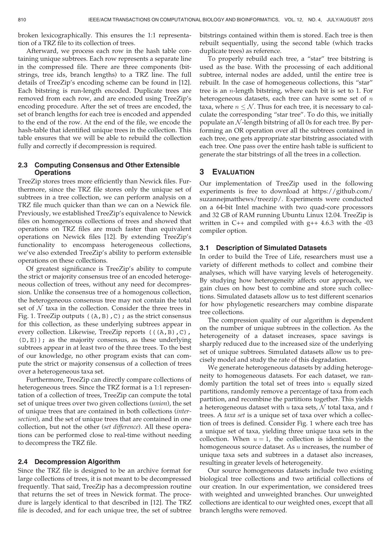broken lexicographically. This ensures the 1:1 representation of a TRZ file to its collection of trees.

Afterward, we process each row in the hash table containing unique subtrees. Each row represents a separate line in the compressed file. There are three components (bitstrings, tree ids, branch lengths) to a TRZ line. The full details of TreeZip's encoding scheme can be found in [12]. Each bitstring is run-length encoded. Duplicate trees are removed from each row, and are encoded using TreeZip's encoding procedure. After the set of trees are encoded, the set of branch lengths for each tree is encoded and appended to the end of the row. At the end of the file, we encode the hash-table that identified unique trees in the collection. This table ensures that we will be able to rebuild the collection fully and correctly if decompression is required.

# 2.3 Computing Consensus and Other Extensible **Operations**

TreeZip stores trees more efficiently than Newick files. Furthermore, since the TRZ file stores only the unique set of subtrees in a tree collection, we can perform analysis on a TRZ file much quicker than than we can on a Newick file. Previously, we established TreeZip's equivalence to Newick files on homogeneous collections of trees and showed that operations on TRZ files are much faster than equivalent operations on Newick files [12]. By extending TreeZip's functionality to encompass heterogeneous collections, we've also extended TreeZip's ability to perform extensible operations on these collections.

Of greatest significance is TreeZip's ability to compute the strict or majority consensus tree of an encoded heterogeneous collection of trees, without any need for decompression. Unlike the consensus tree of a homogenous collection, the heterogeneous consensus tree may not contain the total set of  $N$  taxa in the collection. Consider the three trees in Fig. 1. TreeZip outputs ((A, B), C); as the strict consensus for this collection, as these underlying subtrees appear in every collection. Likewise, TreeZip reports (((A,B),C),  $(D, E)$ ); as the majority consensus, as these underlying subtrees appear in at least two of the three trees. To the best of our knowledge, no other program exists that can compute the strict or majority consensus of a collection of trees over a heterogeneous taxa set.

Furthermore, TreeZip can directly compare collections of heterogeneous trees. Since the TRZ format is a 1:1 representation of a collection of trees, TreeZip can compute the total set of unique trees over two given collections (union), the set of unique trees that are contained in both collections (intersection), and the set of unique trees that are contained in one collection, but not the other (set difference). All these operations can be performed close to real-time without needing to decompress the TRZ file.

## 2.4 Decompression Algorithm

Since the TRZ file is designed to be an archive format for large collections of trees, it is not meant to be decompressed frequently. That said, TreeZip has a decompression routine that returns the set of trees in Newick format. The procedure is largely identical to that described in [12]. The TRZ file is decoded, and for each unique tree, the set of subtree bitstrings contained within them is stored. Each tree is then rebuilt sequentially, using the second table (which tracks duplicate trees) as reference.

To properly rebuild each tree, a "star" tree bitstring is used as the base. With the processing of each additional subtree, internal nodes are added, until the entire tree is rebuilt. In the case of homogeneous collections, this "star" tree is an *n*-length bitstring, where each bit is set to 1. For heterogeneous datasets, each tree can have some set of  $n$ taxa, where  $n \leq N$ . Thus for each tree, it is necessary to calculate the corresponding "star tree". To do this, we initially populate an  $N$ -length bitstring of all 0s for each tree. By performing an OR operation over all the subtrees contained in each tree, one gets appropriate star bitstring associated with each tree. One pass over the entire hash table is sufficient to generate the star bitstrings of all the trees in a collection.

## 3 EVALUATION

Our implementation of TreeZip used in the following experiments is free to download at https://github.com/ suzannejmatthews/treezip/. Experiments were conducted on a 64-bit Intel machine with two quad-core processors and 32 GB of RAM running Ubuntu Linux 12.04. TreeZip is written in C++ and compiled with g++ 4.6.3 with the -03 compiler option.

## 3.1 Description of Simulated Datasets

In order to build the Tree of Life, researchers must use a variety of different methods to collect and combine their analyses, which will have varying levels of heterogeneity. By studying how heterogeneity affects our approach, we gain clues on how best to combine and store such collections. Simulated datasets allow us to test different scenarios for how phylogenetic researchers may combine disparate tree collections.

The compression quality of our algorithm is dependent on the number of unique subtrees in the collection. As the heterogeneity of a dataset increases, space savings is sharply reduced due to the increased size of the underlying set of unique subtrees. Simulated datasets allow us to precisely model and study the rate of this degradation.

We generate heterogeneous datasets by adding heterogeneity to homogeneous datasets. For each dataset, we randomly partition the total set of trees into  $u$  equally sized partitions, randomly remove a percentage of taxa from each partition, and recombine the partitions together. This yields a heterogeneous dataset with  $u$  taxa sets,  $\mathcal N$  total taxa, and  $t$ trees. A taxa set is a unique set of taxa over which a collection of trees is defined. Consider Fig. 1 where each tree has a unique set of taxa, yielding three unique taxa sets in the collection. When  $u = 1$ , the collection is identical to the homogeneous source dataset. As u increases, the number of unique taxa sets and subtrees in a dataset also increases, resulting in greater levels of heterogeneity.

Our source homogeneous datasets include two existing biological tree collections and two artificial collections of our creation. In our experimentation, we considered trees with weighted and unweighted branches. Our unweighted collections are identical to our weighted ones, except that all branch lengths were removed.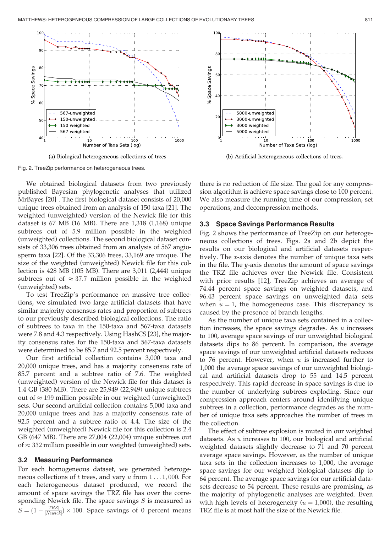

(a) Biological heterogeneous collections of trees.



We obtained biological datasets from two previously published Bayesian phylogenetic analyses that utilized MrBayes [20] . The first biological dataset consists of 20,000 unique trees obtained from an analysis of 150 taxa [21]. The weighted (unweighted) version of the Newick file for this dataset is 67 MB (16 MB). There are 1,318 (1,168) unique subtrees out of 5.9 million possible in the weighted (unweighted) collections. The second biological dataset consists of 33,306 trees obtained from an analysis of 567 angiosperm taxa [22]. Of the 33,306 trees, 33,169 are unique. The size of the weighted (unweighted) Newick file for this collection is 428 MB (105 MB). There are 3,011 (2,444) unique subtrees out of  $\approx 37.7$  million possible in the weighted (unweighted) sets.

To test TreeZip's performance on massive tree collections, we simulated two large artificial datasets that have similar majority consensus rates and proportion of subtrees to our previously described biological collections. The ratio of subtrees to taxa in the 150-taxa and 567-taxa datasets were 7.8 and 4.3 respectively. Using HashCS [23], the majority consensus rates for the 150-taxa and 567-taxa datasets were determined to be 85.7 and 92.5 percent respectively.

Our first artificial collection contains 3,000 taxa and 20,000 unique trees, and has a majority consensus rate of 85.7 percent and a subtree ratio of 7.6. The weighted (unweighted) version of the Newick file for this dataset is 1.4 GB (380 MB). There are 25,949 (22,949) unique subtrees out of  $\approx 199$  million possible in our weighted (unweighted) sets. Our second artificial collection contains 5,000 taxa and 20,000 unique trees and has a majority consensus rate of 92.5 percent and a subtree ratio of 4.4. The size of the weighted (unweighted) Newick file for this collection is 2.4 GB (647 MB). There are 27,004 (22,004) unique subtrees out of  $\approx$  332 million possible in our weighted (unweighted) sets.

#### 3.2 Measuring Performance

For each homogeneous dataset, we generated heterogeneous collections of t trees, and vary u from  $1 \dots 1,000$ . For each heterogeneous dataset produced, we record the amount of space savings the TRZ file has over the corresponding Newick file. The space savings  $S$  is measured as  $S = (1 - \frac{|TRZ|}{|Newick|}) \times 100$ . Space savings of 0 percent means



(b) Artificial heterogeneous collections of trees.

there is no reduction of file size. The goal for any compression algorithm is achieve space savings close to 100 percent. We also measure the running time of our compression, set operations, and decompression methods.

## 3.3 Space Savings Performance Results

Fig. 2 shows the performance of TreeZip on our heterogeneous collections of trees. Figs. 2a and 2b depict the results on our biological and artificial datasets respectively. The x-axis denotes the number of unique taxa sets in the file. The  $y$ -axis denotes the amount of space savings the TRZ file achieves over the Newick file. Consistent with prior results [12], TreeZip achieves an average of 74.44 percent space savings on weighted datasets, and 96.43 percent space savings on unweighted data sets when  $u = 1$ , the homogeneous case. This discrepancy is caused by the presence of branch lengths.

As the number of unique taxa sets contained in a collection increases, the space savings degrades. As  $u$  increases to 100, average space savings of our unweighted biological datasets dips to 86 percent. In comparison, the average space savings of our unweighted artificial datasets reduces to 76 percent. However, when  $u$  is increased further to 1,000 the average space savings of our unweighted biological and artificial datasets drop to 55 and 14.5 percent respectively. This rapid decrease in space savings is due to the number of underlying subtrees exploding. Since our compression approach centers around identifying unique subtrees in a collection, performance degrades as the number of unique taxa sets approaches the number of trees in the collection.

The effect of subtree explosion is muted in our weighted datasets. As  $u$  increases to 100, our biological and artificial weighted datasets slightly decrease to 71 and 70 percent average space savings. However, as the number of unique taxa sets in the collection increases to 1,000, the average space savings for our weighted biological datasets dip to 64 percent. The average space savings for our artificial datasets decrease to 54 percent. These results are promising, as the majority of phylogenetic analyses are weighted. Even with high levels of heterogeneity ( $u = 1,000$ ), the resulting TRZ file is at most half the size of the Newick file.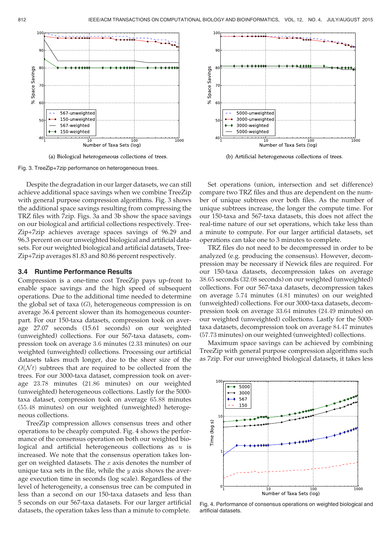

(a) Biological heterogeneous collections of trees.



Despite the degradation in our larger datasets, we can still achieve additional space savings when we combine TreeZip with general purpose compression algorithms. Fig. 3 shows the additional space savings resulting from compressing the TRZ files with 7zip. Figs. 3a and 3b show the space savings on our biological and artificial collections respectively. Tree-Zip+7zip achieves average spaces savings of 96.29 and 96.3 percent on our unweighted biological and artificial datasets. For our weighted biological and artificial datasets, Tree-Zip+7zip averages 81.83 and 80.86 percent respectively.

## 3.4 Runtime Performance Results

Compression is a one-time cost TreeZip pays up-front to enable space savings and the high speed of subsequent operations. Due to the additional time needed to determine the global set of taxa  $(G)$ , heterogeneous compression is on average 36.4 percent slower than its homogeneous counterpart. For our 150-taxa datasets, compression took on average 27.07 seconds (15.61 seconds) on our weighted (unweighted) collections. For our 567-taxa datasets, compression took on average 3:6 minutes (2:33 minutes) on our weighted (unweighted) collections. Processing our artificial datasets takes much longer, due to the sheer size of the  $O(Nt)$  subtrees that are required to be collected from the trees. For our 3000-taxa dataset, compression took on average 23:78 minutes (21:86 minutes) on our weighted (unweighted) heterogeneous collections. Lastly for the 5000 taxa dataset, compression took on average 65:88 minutes (55:48 minutes) on our weighted (unweighted) heterogeneous collections.

TreeZip compression allows consensus trees and other operations to be cheaply computed. Fig. 4 shows the performance of the consensus operation on both our weighted biological and artificial heterogeneous collections as  $u$  is increased. We note that the consensus operation takes longer on weighted datasets. The  $x$  axis denotes the number of unique taxa sets in the file, while the  $y$  axis shows the average execution time in seconds (log scale). Regardless of the level of heterogeneity, a consensus tree can be computed in less than a second on our 150-taxa datasets and less than 5 seconds on our 567-taxa datasets. For our larger artificial datasets, the operation takes less than a minute to complete.



(b) Artificial heterogeneous collections of trees.

Set operations (union, intersection and set difference) compare two TRZ files and thus are dependent on the number of unique subtrees over both files. As the number of unique subtrees increase, the longer the compute time. For our 150-taxa and 567-taxa datasets, this does not affect the real-time nature of our set operations, which take less than a minute to compute. For our larger artificial datasets, set operations can take one to 3 minutes to complete.

TRZ files do not need to be decompressed in order to be analyzed (e.g. producing the consensus). However, decompression may be necessary if Newick files are required. For our 150-taxa datasets, decompression takes on average 38:65 seconds (32:08 seconds) on our weighted (unweighted) collections. For our 567-taxa datasets, decompression takes on average 5:74 minutes (4:81 minutes) on our weighted (unweighted) collections. For our 3000-taxa datasets, decompression took on average 33:64 minutes (24:49 minutes) on our weighted (unweighted) collections. Lastly for the 5000 taxa datasets, decompression took on average 84:47 minutes (57:73 minutes) on our weighted (unweighted) collections.

Maximum space savings can be achieved by combining TreeZip with general purpose compression algorithms such as 7zip. For our unweighted biological datasets, it takes less



Fig. 4. Performance of consensus operations on weighted biological and artificial datasets.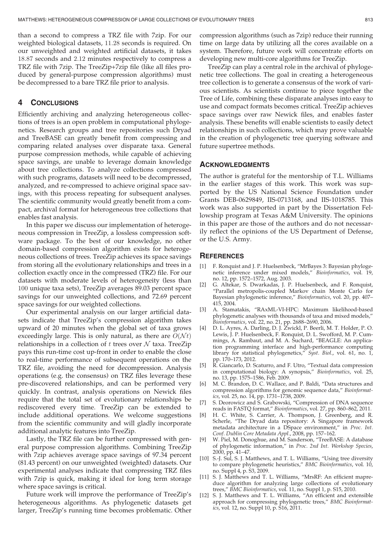than a second to compress a TRZ file with 7zip. For our weighted biological datasets, 11:28 seconds is required. On our unweighted and weighted artificial datasets, it takes 18:87 seconds and 2:12 minutes respectively to compress a TRZ file with 7zip. The TreeZip+7zip file (like all files produced by general-purpose compression algorithms) must be decompressed to a bare TRZ file prior to analysis.

## 4 CONCLUSIONS

Efficiently archiving and analyzing heterogeneous collections of trees is an open problem in computational phylogenetics. Research groups and tree repositories such Dryad and TreeBASE can greatly benefit from compressing and comparing related analyses over disparate taxa. General purpose compression methods, while capable of achieving space savings, are unable to leverage domain knowledge about tree collections. To analyze collections compressed with such programs, datasets will need to be decompressed, analyzed, and re-compressed to achieve original space savings, with this process repeating for subsequent analyses. The scientific community would greatly benefit from a compact, archival format for heterogeneous tree collections that enables fast analysis.

In this paper we discuss our implementation of heterogeneous compression in TreeZip, a lossless compression software package. To the best of our knowledge, no other domain-based compression algorithm exists for heterogeneous collections of trees. TreeZip achieves its space savings from storing all the evolutionary relationships and trees in a collection exactly once in the compressed (TRZ) file. For our datasets with moderate levels of heterogeneity (less than 100 unique taxa sets), TreeZip averages 89.03 percent space savings for our unweighted collections, and 72.69 percent space savings for our weighted collections.

Our experimental analysis on our larger artificial datasets indicate that TreeZip's compression algorithm takes upward of 20 minutes when the global set of taxa grows exceedingly large. This is only natural, as there are  $O(\mathcal{N}t)$ relationships in a collection of t trees over  $N$  taxa. TreeZip pays this run-time cost up-front in order to enable the close to real-time performance of subsequent operations on the TRZ file, avoiding the need for decompression. Analysis operations (e.g. the consensus) on TRZ files leverage these pre-discovered relationships, and can be performed very quickly. In contrast, analysis operations on Newick files require that the total set of evolutionary relationships be rediscovered every time. TreeZip can be extended to include additional operations. We welcome suggestions from the scientific community and will gladly incorporate additional analytic features into TreeZip.

Lastly, the TRZ file can be further compressed with general purpose compression algorithms. Combining TreeZip with 7zip achieves average space savings of 97.34 percent (81.43 percent) on our unweighted (weighted) datasets. Our experimental analyses indicate that compressing TRZ files with 7zip is quick, making it ideal for long term storage where space savings is critical.

Future work will improve the performance of TreeZip's heterogeneous algorithms. As phylogenetic datasets get larger, TreeZip's running time becomes problematic. Other

compression algorithms (such as 7zip) reduce their running time on large data by utilizing all the cores available on a system. Therefore, future work will concentrate efforts on developing new multi-core algorithms for TreeZip.

TreeZip can play a central role in the archival of phylogenetic tree collections. The goal in creating a heterogeneous tree collection is to generate a consensus of the work of various scientists. As scientists continue to piece together the Tree of Life, combining these disparate analyses into easy to use and compact formats becomes critical. TreeZip achieves space savings over raw Newick files, and enables faster analysis. These benefits will enable scientists to easily detect relationships in such collections, which may prove valuable in the creation of phylogenetic tree querying software and future supertree methods.

## ACKNOWLEDGMENTS

The author is grateful for the mentorship of T.L. Williams in the earlier stages of this work. This work was supported by the US National Science Foundation under Grants DEB-0629849, IIS-0713168, and IIS-1018785. This work was also supported in part by the Dissertation Fellowship program at Texas A&M University. The opinions in this paper are those of the authors and do not necessarily reflect the opinions of the US Department of Defense, or the U.S. Army.

## **REFERENCES**

- [1] F. Ronquist and J. P. Huelsenbeck, "MrBayes 3: Bayesian phylogenetic inference under mixed models," Bioinformatics, vol. 19, no. 12, pp. 1572–1572, Aug. 2003.
- [2] G. Altekar, S. Dwarkadas, J. P. Huelsenbeck, and F. Ronquist, "Parallel metropolis-coupled Markov chain Monte Carlo for Bayesian phylogenetic inference," Bioinformatics, vol. 20, pp. 407– 415, 2004.
- [3] A. Stamatakis, "RAxML-VI-HPC: Maximum likelihood-based phylogenetic analyses with thousands of taxa and mixed models," Bioinformatics, vol. 22, no. 21, pp. 2688–2690, 2006.
- [4] D. L. Ayres, A. Darling, D. J. Zwickl, P. Beerli, M. T. Holder, P. O. Lewis, J. P. Huelsenbeck, F. Ronquist, D. L. Swofford, M. P. Cummings, A. Rambaut, and M. A. Suchard, "BEAGLE: An application programming interface and high-performance computing library for statistical phylogenetics," Syst. Biol., vol. 61, no. 1, pp. 170–173, 2012.
- [5] R. Giancarlo, D. Scaturro, and F. Utro, "Textual data compression in computational biology: A synopsis," Bioinformatics, vol. 25, no. 13, pp. 1575–1586, Feb. 2009.
- [6] M. C. Brandon, D. C. Wallace, and P. Baldi, "Data structures and compression algorithms for genomic sequence data," Bioinformatics, vol. 25, no. 14, pp. 1731–1738, 2009.
- [7] S. Deorowicz and S. Grabowski, "Compression of DNA sequence reads in FASTQ format," Bioinformatics, vol. 27, pp. 860–862, 2011.
- [8] H. C. White, S. Carrier, A. Thompson, J. Greenberg, and R. Scherle, "The Dryad data repository: A Singapore framework metadata architecture in a DSpace environment," in Proc. Int. Conf. Dublin Core Metadata Appl., 2008, pp. 157–162.
- [9] W. Piel, M. Donoghue, and M. Sanderson, "TreeBASE: A database of phylogenetic information," in Proc. 2nd Int. Workshop Species, 2000, pp. 41–47.
- [10] S.-J. Sul, S. J. Matthews, and T. L. Williams, "Using tree diversity to compare phylogenetic heuristics," BMC Bioinformatics, vol. 10, no. Suppl 4, p. S3, 2009.
- [11] S. J. Matthews and T. L. Williams, "MrsRF: An efficient mapreduce algorithm for analyzing large collections of evolutionary trees," BMC Bioinformatics, vol. 11, no. Suppl 1, p. S15, 2010.
- [12] S. J. Matthews and T. L. Williams, "An efficient and extensible approach for compressing phylogenetic trees," BMC Bioinformatics, vol. 12, no. Suppl 10, p. S16, 2011.